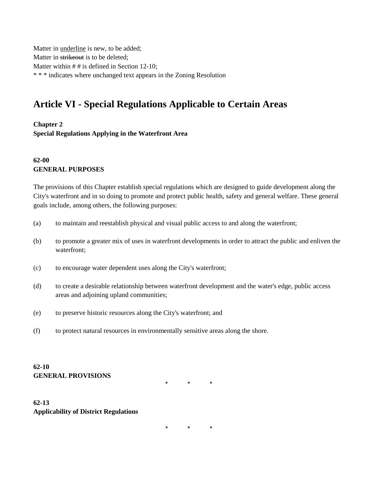Matter in underline is new, to be added; Matter in strikeout is to be deleted; Matter within # # is defined in Section 12-10; \* \* \* indicates where unchanged text appears in the Zoning Resolution

# **Article VI - Special Regulations Applicable to Certain Areas**

**Chapter 2**

**Special Regulations Applying in the Waterfront Area**

# **62-00 GENERAL PURPOSES**

The provisions of this Chapter establish special regulations which are designed to guide development along the City's waterfront and in so doing to promote and protect public health, safety and general welfare. These general goals include, among others, the following purposes:

- (a) to maintain and reestablish physical and visual public access to and along the waterfront;
- (b) to promote a greater mix of uses in waterfront developments in order to attract the public and enliven the waterfront;
- (c) to encourage water dependent uses along the City's waterfront;
- (d) to create a desirable relationship between waterfront development and the water's edge, public access areas and adjoining upland communities;
- (e) to preserve historic resources along the City's waterfront; and
- (f) to protect natural resources in environmentally sensitive areas along the shore.

### **62-10 GENERAL PROVISIONS**

\* \* \*

# **62-13 Applicability of District Regulations**

\* \* \*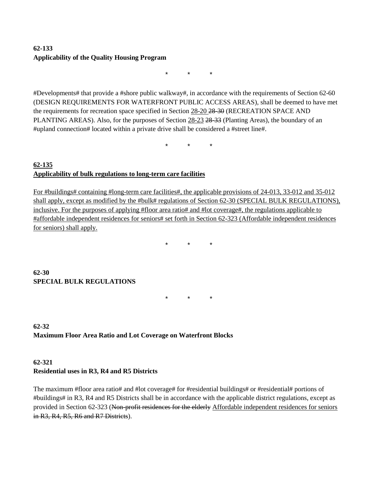### **62-133 Applicability of the Quality Housing Program**

\* \* \*

#Developments# that provide a #shore public walkway#, in accordance with the requirements of Section 62-60 (DESIGN REQUIREMENTS FOR WATERFRONT PUBLIC ACCESS AREAS), shall be deemed to have met the requirements for recreation space specified in Section 28-20 28-30 (RECREATION SPACE AND PLANTING AREAS). Also, for the purposes of Section 28-23 28-33 (Planting Areas), the boundary of an #upland connection# located within a private drive shall be considered a #street line#.

\* \* \*

### **62-135 Applicability of bulk regulations to long-term care facilities**

For #buildings# containing #long-term care facilities#, the applicable provisions of 24-013, 33-012 and 35-012 shall apply, except as modified by the #bulk# regulations of Section 62-30 (SPECIAL BULK REGULATIONS), inclusive. For the purposes of applying #floor area ratio# and #lot coverage#, the regulations applicable to #affordable independent residences for seniors# set forth in Section 62-323 (Affordable independent residences for seniors) shall apply.

\* \* \*

### **62-30 SPECIAL BULK REGULATIONS**

\* \* \*

# **62-32 Maximum Floor Area Ratio and Lot Coverage on Waterfront Blocks**

#### **62-321 Residential uses in R3, R4 and R5 Districts**

The maximum #floor area ratio# and #lot coverage# for #residential buildings# or #residential# portions of #buildings# in R3, R4 and R5 Districts shall be in accordance with the applicable district regulations, except as provided in Section 62-323 (Non-profit residences for the elderly Affordable independent residences for seniors in R3, R4, R5, R6 and R7 Districts).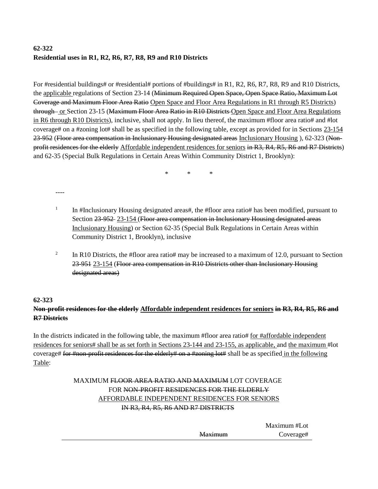# **62-322 Residential uses in R1, R2, R6, R7, R8, R9 and R10 Districts**

For #residential buildings# or #residential# portions of #buildings# in R1, R2, R6, R7, R8, R9 and R10 Districts, the applicable regulations of Section 23-14 (Minimum Required Open Space, Open Space Ratio, Maximum Lot Coverage and Maximum Floor Area Ratio Open Space and Floor Area Regulations in R1 through R5 Districts) through or Section 23-15 (Maximum Floor Area Ratio in R10 Districts Open Space and Floor Area Regulations in R6 through R10 Districts), inclusive, shall not apply. In lieu thereof, the maximum #floor area ratio# and #lot coverage# on a #zoning lot# shall be as specified in the following table, except as provided for in Sections 23-154 23-952 (Floor area compensation in Inclusionary Housing designated areas Inclusionary Housing), 62-323 (Nonprofit residences for the elderly Affordable independent residences for seniors in R3, R4, R5, R6 and R7 Districts) and 62-35 (Special Bulk Regulations in Certain Areas Within Community District 1, Brooklyn):

\* \* \*

----

- $1$  In #Inclusionary Housing designated areas#, the #floor area ratio# has been modified, pursuant to Section 23-952 23-154 (Floor area compensation in Inclusionary Housing designated areas Inclusionary Housing) or Section 62-35 (Special Bulk Regulations in Certain Areas within Community District 1, Brooklyn), inclusive
- <sup>2</sup> In R10 Districts, the #floor area ratio# may be increased to a maximum of 12.0, pursuant to Section 23-951 23-154 (Floor area compensation in R10 Districts other than Inclusionary Housing designated areas)

## **62-323 Non-profit residences for the elderly Affordable independent residences for seniors in R3, R4, R5, R6 and R7 Districts**

In the districts indicated in the following table, the maximum #floor area ratio# for #affordable independent residences for seniors# shall be as set forth in Sections 23-144 and 23-155, as applicable, and the maximum #lot coverage# for #non-profit residences for the elderly# on a #zoning lot# shall be as specified in the following Table:

# MAXIMUM FLOOR AREA RATIO AND MAXIMUM LOT COVERAGE FOR NON-PROFIT RESIDENCES FOR THE ELDERLY AFFORDABLE INDEPENDENT RESIDENCES FOR SENIORS IN R3, R4, R5, R6 AND R7 DISTRICTS

|                | Maximum #Lot |
|----------------|--------------|
| <b>Maximum</b> | Coverage#    |
|                |              |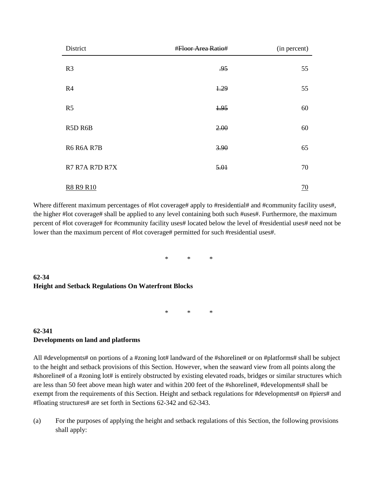| District              | <b>#Floor Area Ratio#</b> | (in percent) |
|-----------------------|---------------------------|--------------|
| R <sub>3</sub>        | .95                       | 55           |
| R4                    | 1.29                      | 55           |
| R <sub>5</sub>        | 1.95                      | 60           |
| R5D R6B               | 2.00                      | 60           |
| <b>R6 R6A R7B</b>     | 3.90                      | 65           |
| <b>R7 R7A R7D R7X</b> | 5.01                      | 70           |
| <b>R8 R9 R10</b>      |                           | <u>70</u>    |

Where different maximum percentages of #lot coverage# apply to #residential# and #community facility uses#, the higher #lot coverage# shall be applied to any level containing both such #uses#. Furthermore, the maximum percent of #lot coverage# for #community facility uses# located below the level of #residential uses# need not be lower than the maximum percent of #lot coverage# permitted for such #residential uses#.

\* \* \*

### **62-34 Height and Setback Regulations On Waterfront Blocks**

\* \* \*

#### **62-341 Developments on land and platforms**

All #developments# on portions of a #zoning lot# landward of the #shoreline# or on #platforms# shall be subject to the height and setback provisions of this Section. However, when the seaward view from all points along the #shoreline# of a #zoning lot# is entirely obstructed by existing elevated roads, bridges or similar structures which are less than 50 feet above mean high water and within 200 feet of the #shoreline#, #developments# shall be exempt from the requirements of this Section. Height and setback regulations for #developments# on #piers# and #floating structures# are set forth in Sections 62-342 and 62-343.

(a) For the purposes of applying the height and setback regulations of this Section, the following provisions shall apply: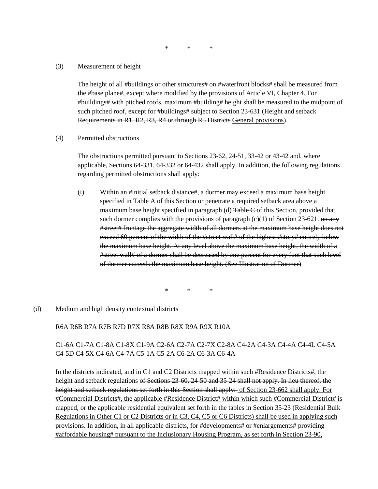\* \* \*

(3) Measurement of height

The height of all #buildings or other structures# on #waterfront blocks# shall be measured from the #base plane#, except where modified by the provisions of Article VI, Chapter 4. For #buildings# with pitched roofs, maximum #building# height shall be measured to the midpoint of such pitched roof, except for #buildings# subject to Section 23-631 (Height and setback Requirements in R1, R2, R3, R4 or through R5 Districts General provisions).

(4) Permitted obstructions

The obstructions permitted pursuant to Sections 23-62, 24-51, 33-42 or 43-42 and, where applicable, Sections 64-331, 64-332 or 64-432 shall apply. In addition, the following regulations regarding permitted obstructions shall apply:

(i) Within an #initial setback distance#, a dormer may exceed a maximum base height specified in Table A of this Section or penetrate a required setback area above a maximum base height specified in paragraph (d) Table C-of this Section, provided that such dormer complies with the provisions of paragraph  $(c)(1)$  of Section 23-621. on any #street# frontage the aggregate width of all dormers at the maximum base height does not exceed 60 percent of the width of the #street wall# of the highest #story# entirely below the maximum base height. At any level above the maximum base height, the width of a #street wall# of a dormer shall be decreased by one percent for every foot that such level of dormer exceeds the maximum base height. (See Illustration of Dormer)

\* \* \*

(d) Medium and high density contextual districts

#### R6A R6B R7A R7B R7D R7X R8A R8B R8X R9A R9X R10A

### C1-6A C1-7A C1-8A C1-8X C1-9A C2-6A C2-7A C2-7X C2-8A C4-2A C4-3A C4-4A C4-4L C4-5A C4-5D C4-5X C4-6A C4-7A C5-1A C5-2A C6-2A C6-3A C6-4A

In the districts indicated, and in C1 and C2 Districts mapped within such #Residence Districts#, the height and setback regulations of Sections 23-60, 24-50 and 35-24 shall not apply. In lieu thereof, the height and setback regulations set forth in this Section shall apply: of Section 23-662 shall apply. For #Commercial Districts#, the applicable #Residence District# within which such #Commercial District# is mapped, or the applicable residential equivalent set forth in the tables in Section 35-23 (Residential Bulk Regulations in Other C1 or C2 Districts or in C3, C4, C5 or C6 Districts) shall be used in applying such provisions. In addition, in all applicable districts, for #developments# or #enlargements# providing #affordable housing# pursuant to the Inclusionary Housing Program, as set forth in Section 23-90,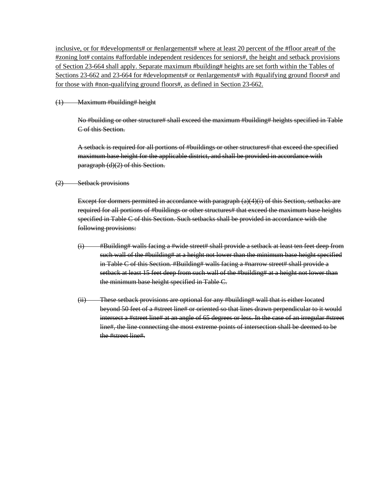inclusive, or for #developments# or #enlargements# where at least 20 percent of the #floor area# of the #zoning lot# contains #affordable independent residences for seniors#, the height and setback provisions of Section 23-664 shall apply. Separate maximum #building# heights are set forth within the Tables of Sections 23-662 and 23-664 for #developments# or #enlargements# with #qualifying ground floors# and for those with #non-qualifying ground floors#, as defined in Section 23-662.

#### (1) Maximum #building# height

No #building or other structure# shall exceed the maximum #building# heights specified in Table C of this Section.

A setback is required for all portions of #buildings or other structures# that exceed the specified maximum base height for the applicable district, and shall be provided in accordance with paragraph (d)(2) of this Section.

#### (2) Setback provisions

Except for dormers permitted in accordance with paragraph (a)(4)(i) of this Section, setbacks are required for all portions of #buildings or other structures# that exceed the maximum base heights specified in Table C of this Section. Such setbacks shall be provided in accordance with the following provisions:

- $(i)$  #Building# walls facing a #wide street# shall provide a setback at least ten feet deep from such wall of the #building# at a height not lower than the minimum base height specified in Table C of this Section. #Building# walls facing a #narrow street# shall provide a setback at least 15 feet deep from such wall of the #building# at a height not lower than the minimum base height specified in Table C.
- (ii) These setback provisions are optional for any #building# wall that is either located beyond 50 feet of a #street line# or oriented so that lines drawn perpendicular to it would intersect a #street line# at an angle of 65 degrees or less. In the case of an irregular #street line#, the line connecting the most extreme points of intersection shall be deemed to be the #street line#.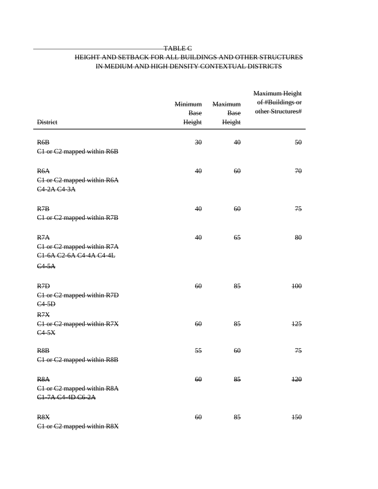#### TABLE C

#### HEIGHT AND SETBACK FOR ALL BUILDINGS AND OTHER STRUCTURES IN MEDIUM AND HIGH DENSITY CONTEXTUAL DISTRICTS

| <b>District</b>                                                         | <b>Minimum</b><br><b>Base</b><br>Height | <b>Maximum</b><br><b>Base</b><br>Height | Maximum Height<br>of #Buildings or<br>other Structures# |
|-------------------------------------------------------------------------|-----------------------------------------|-----------------------------------------|---------------------------------------------------------|
| R6B<br>C1 or C2 mapped within R6B                                       | 30                                      | 40                                      | 50                                                      |
| R6A<br>C1 or C2 mapped within R6A<br>C4-2A-C4-3A                        | 40                                      | 60                                      | 70                                                      |
| R <sub>7B</sub><br>C1 or C2 mapped within R7B                           | 40                                      | 60                                      | 75                                                      |
| R7A<br>C1 or C2 mapped within R7A<br>C1-6A C2-6A C4-4A C4-4L<br>$C4-5A$ | 40                                      | 65                                      | 80                                                      |
| R <sub>7D</sub><br>C1 or C2 mapped within R7D<br>$C4-5D$                | 60                                      | 85                                      | 100                                                     |
| R7X<br>C1 or C2 mapped within R7X<br>$C4-5X$                            | 60                                      | 85                                      | 125                                                     |
| R <sub>8</sub> B<br>C1 or C2 mapped within R8B                          | 55                                      | 60                                      | 75                                                      |
| R <sub>8</sub> A<br>C1 or C2 mapped within R8A<br>C1-7A C4-4D C6-2A     | 60                                      | 85                                      | $+20$                                                   |
| R <sub>8</sub> X<br>C1 or C2 mapped within R8X                          | 60                                      | 85                                      | 150                                                     |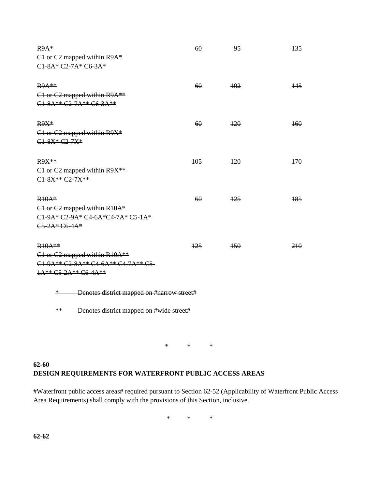| $R9A*$                                                | 60               | 95    | 135   |  |  |
|-------------------------------------------------------|------------------|-------|-------|--|--|
| C1 or C2 mapped within R9A*                           |                  |       |       |  |  |
| C1-8A* C2-7A* C6-3A*                                  |                  |       |       |  |  |
|                                                       |                  |       |       |  |  |
| $R9A**$                                               | 60               | $+02$ | 145   |  |  |
| C1 or C2 mapped within R9A**                          |                  |       |       |  |  |
| C1-8A** C2-7A** C6-3A**                               |                  |       |       |  |  |
| $R9X*$                                                | 60               | 120   | 160   |  |  |
| $C1$ or $C2$ mapped within R9X*                       |                  |       |       |  |  |
| C1-8X* C2-7X*                                         |                  |       |       |  |  |
|                                                       |                  |       |       |  |  |
| <b>R9X**</b>                                          | $\overline{405}$ | $+20$ | $+70$ |  |  |
| C1 or C2 mapped within R9X**                          |                  |       |       |  |  |
| C1-8X** C2-7X**                                       |                  |       |       |  |  |
| $R10A*$                                               | 60               | 125   | 185   |  |  |
| C1 or C2 mapped within R10A*                          |                  |       |       |  |  |
| C1-9A* C2-9A* C4-6A*C4-7A* C5-1A*                     |                  |       |       |  |  |
| C5-2A* C6-4A*                                         |                  |       |       |  |  |
| $R10A**$                                              | $+25$            | $+50$ | 210   |  |  |
| C1 or C2 mapped within R10A**                         |                  |       |       |  |  |
| C1-9A** C2-8A** C4-6A** C4-7A** C5-                   |                  |       |       |  |  |
| 1A** C5-2A** C6-4A**                                  |                  |       |       |  |  |
|                                                       |                  |       |       |  |  |
| Denotes district mapped on #narrow street#<br>$*$ $-$ |                  |       |       |  |  |

\*\* Denotes district mapped on #wide street#

\* \* \*

### **62-60 DESIGN REQUIREMENTS FOR WATERFRONT PUBLIC ACCESS AREAS**

#Waterfront public access areas# required pursuant to Section 62-52 (Applicability of Waterfront Public Access Area Requirements) shall comply with the provisions of this Section, inclusive.

\* \* \*

**62-62**